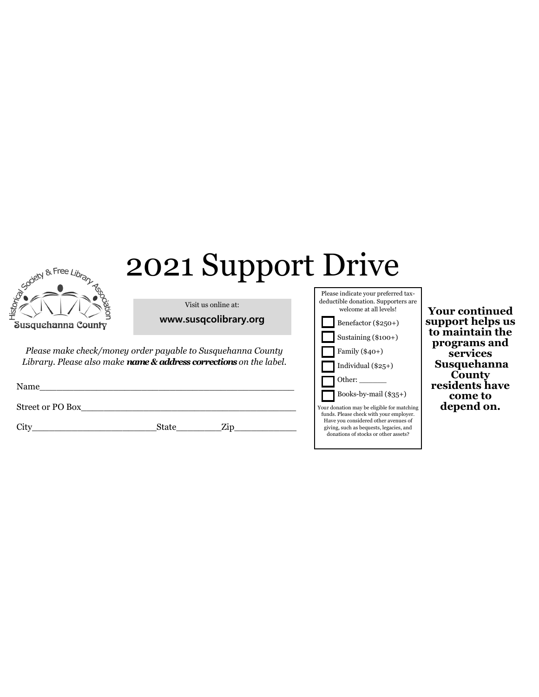## $\mathbb{R}_{\mathbb{R}^{\mathbb{R}^{\mathbb{R}^{\mathbb{R}^{\mathbb{R}^{\mathbb{R}^{\mathbb{R}^{\mathbb{R}^{\mathbb{R}^{\mathbb{R}^{\mathbb{R}^{\mathbb{R}^{\mathbb{R}^{\mathbb{R}^{\mathbb{R}^{\mathbb{R}^{\mathbb{R}^{\mathbb{R}^{\mathbb{R}^{\mathbb{R}^{\mathbb{R}^{\mathbb{R}^{\mathbb{R}^{\mathbb{R}^{\mathbb{R}^{\mathbb{R}^{\mathbb{R}^{\mathbb{R}^{\mathbb{R}^{\mathbb{R}^{\mathbb{$



Visit us online at:

**www.susqcolibrary.org**

*Please make check/money order payable to Susquehanna County Library. Please also make name & address corrections on the label.* 

| Name             |  |  |  |
|------------------|--|--|--|
| Street or PO Box |  |  |  |

City\_\_\_\_\_\_\_\_\_\_\_\_\_\_\_\_\_\_\_\_\_\_State\_\_\_\_\_\_\_\_Zip\_\_\_\_\_\_\_\_\_\_\_

| Please indicate your preferred tax-<br>deductible donation. Supporters are<br>welcome at all levels!                          |  |
|-------------------------------------------------------------------------------------------------------------------------------|--|
| Benefactor (\$250+)                                                                                                           |  |
| Sustaining (\$100+)                                                                                                           |  |
| Family $(\$40+)$                                                                                                              |  |
| Individual $(\$25+)$                                                                                                          |  |
| Other: $\_\_$                                                                                                                 |  |
| Books-by-mail $(\$35+)$                                                                                                       |  |
| Your donation may be eligible for matching<br>funds. Please check with your employer.<br>Have you considered other avenues of |  |
| giving, such as bequests, legacies, and<br>donations of stocks or other assets?                                               |  |

**Your continued support helps us to maintain the programs and services Susquehanna County residents have come to depend on.**